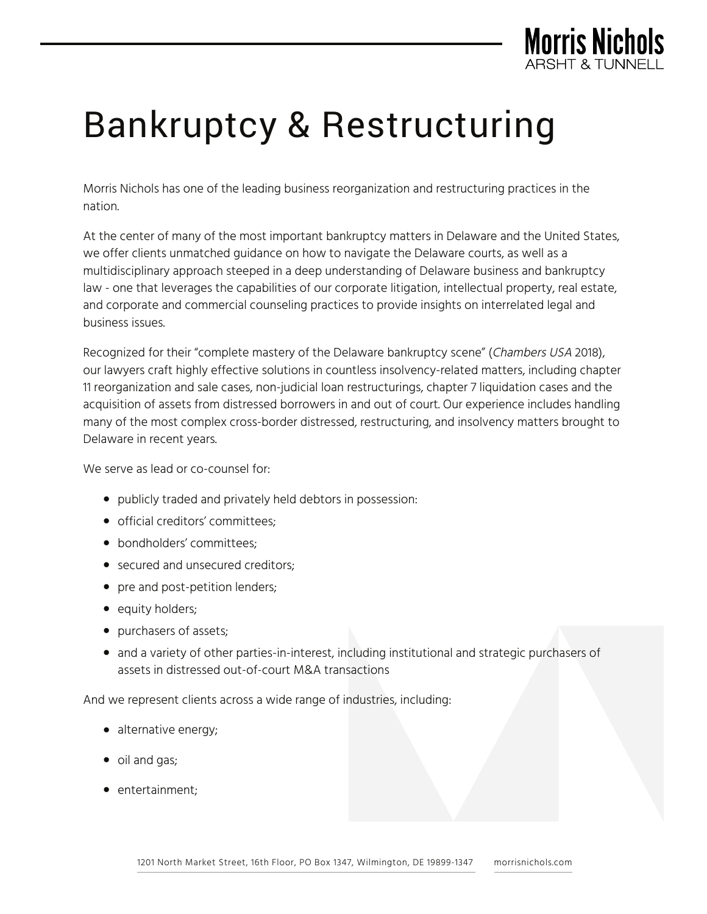

## Bankruptcy & Restructuring

Morris Nichols has one of the leading business reorganization and restructuring practices in the nation.

At the center of many of the most important bankruptcy matters in Delaware and the United States, we offer clients unmatched guidance on how to navigate the Delaware courts, as well as a multidisciplinary approach steeped in a deep understanding of Delaware business and bankruptcy law - one that leverages the capabilities of our corporate litigation, intellectual property, real estate, and corporate and commercial counseling practices to provide insights on interrelated legal and business issues.

Recognized for their "complete mastery of the Delaware bankruptcy scene" (Chambers USA 2018), our lawyers craft highly effective solutions in countless insolvency-related matters, including chapter 11 reorganization and sale cases, non-judicial loan restructurings, chapter 7 liquidation cases and the acquisition of assets from distressed borrowers in and out of court. Our experience includes handling many of the most complex cross-border distressed, restructuring, and insolvency matters brought to Delaware in recent years.

We serve as lead or co-counsel for:

- publicly traded and privately held debtors in possession:
- official creditors' committees;
- bondholders' committees;
- secured and unsecured creditors;
- pre and post-petition lenders;
- equity holders;
- purchasers of assets;
- and a variety of other parties-in-interest, including institutional and strategic purchasers of assets in distressed out-of-court M&A transactions

And we represent clients across a wide range of industries, including:

- alternative energy;
- oil and gas;
- entertainment;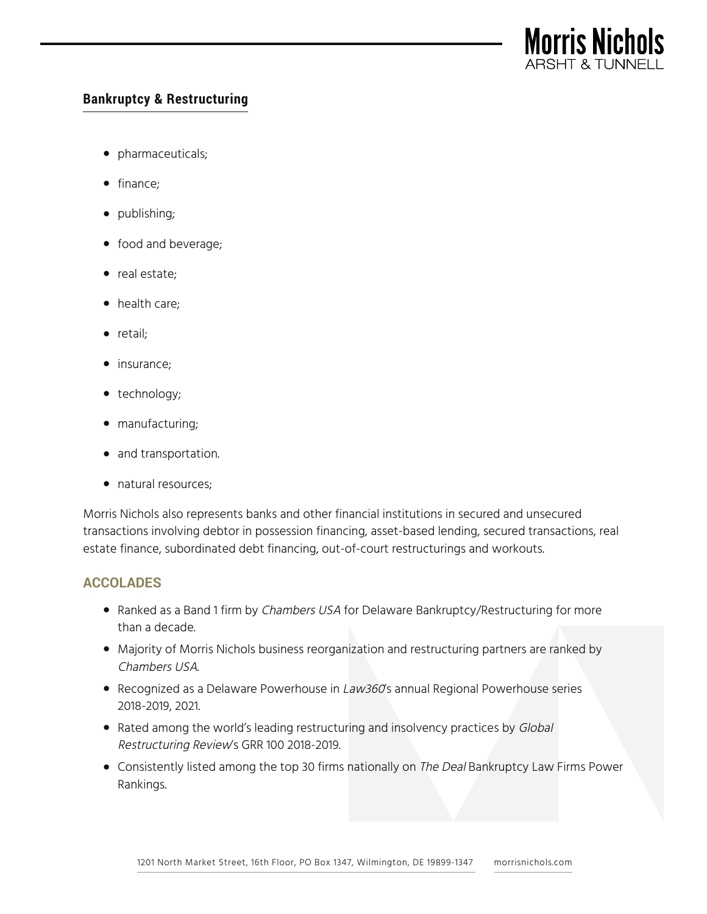

## **Bankruptcy & Restructuring**

- pharmaceuticals;
- finance;
- publishing;
- food and beverage;
- real estate;
- health care;
- retail;
- insurance;
- technology;
- manufacturing;
- and transportation.
- natural resources;

Morris Nichols also represents banks and other financial institutions in secured and unsecured transactions involving debtor in possession financing, asset-based lending, secured transactions, real estate finance, subordinated debt financing, out-of-court restructurings and workouts.

## **ACCOLADES**

- Ranked as a Band 1 firm by Chambers USA for Delaware Bankruptcy/Restructuring for more than a decade.
- Majority of Morris Nichols business reorganization and restructuring partners are ranked by Chambers USA.
- Recognized as a Delaware Powerhouse in Law360's annual Regional Powerhouse series 2018-2019, 2021.
- Rated among the world's leading restructuring and insolvency practices by Global Restructuring Review's GRR 100 2018-2019.
- Consistently listed among the top 30 firms nationally on The Deal Bankruptcy Law Firms Power Rankings.